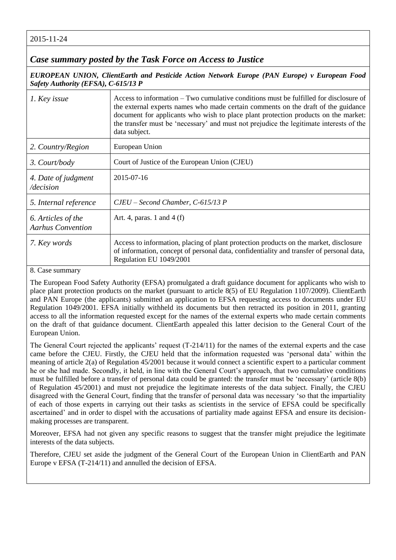2015-11-24

## *Case summary posted by the Task Force on Access to Justice*

*EUROPEAN UNION, ClientEarth and Pesticide Action Network Europe (PAN Europe) v European Food Safety Authority (EFSA), C-615/13 P*

| 1. Key issue                                   | Access to information – Two cumulative conditions must be fulfilled for disclosure of<br>the external experts names who made certain comments on the draft of the guidance<br>document for applicants who wish to place plant protection products on the market:<br>the transfer must be 'necessary' and must not prejudice the legitimate interests of the<br>data subject. |
|------------------------------------------------|------------------------------------------------------------------------------------------------------------------------------------------------------------------------------------------------------------------------------------------------------------------------------------------------------------------------------------------------------------------------------|
| 2. Country/Region                              | European Union                                                                                                                                                                                                                                                                                                                                                               |
| 3. Court/body                                  | Court of Justice of the European Union (CJEU)                                                                                                                                                                                                                                                                                                                                |
| 4. Date of judgment<br>/decision               | 2015-07-16                                                                                                                                                                                                                                                                                                                                                                   |
| 5. Internal reference                          | $CJEU - Second Chamber, C-615/13 P$                                                                                                                                                                                                                                                                                                                                          |
| 6. Articles of the<br><b>Aarhus Convention</b> | Art. 4, paras. 1 and 4 $(f)$                                                                                                                                                                                                                                                                                                                                                 |
| 7. Key words                                   | Access to information, placing of plant protection products on the market, disclosure<br>of information, concept of personal data, confidentiality and transfer of personal data,<br>Regulation EU 1049/2001                                                                                                                                                                 |

8. Case summary

The European Food Safety Authority (EFSA) promulgated a draft guidance document for applicants who wish to place plant protection products on the market (pursuant to article 8(5) of EU Regulation 1107/2009). ClientEarth and PAN Europe (the applicants) submitted an application to EFSA requesting access to documents under EU Regulation 1049/2001. EFSA initially withheld its documents but then retracted its position in 2011, granting access to all the information requested except for the names of the external experts who made certain comments on the draft of that guidance document. ClientEarth appealed this latter decision to the General Court of the European Union.

The General Court rejected the applicants' request (T-214/11) for the names of the external experts and the case came before the CJEU. Firstly, the CJEU held that the information requested was 'personal data' within the meaning of article 2(a) of Regulation 45/2001 because it would connect a scientific expert to a particular comment he or she had made. Secondly, it held, in line with the General Court's approach, that two cumulative conditions must be fulfilled before a transfer of personal data could be granted: the transfer must be 'necessary' (article 8(b) of Regulation 45/2001) and must not prejudice the legitimate interests of the data subject. Finally, the CJEU disagreed with the General Court, finding that the transfer of personal data was necessary 'so that the impartiality of each of those experts in carrying out their tasks as scientists in the service of EFSA could be specifically ascertained' and in order to dispel with the accusations of partiality made against EFSA and ensure its decisionmaking processes are transparent.

Moreover, EFSA had not given any specific reasons to suggest that the transfer might prejudice the legitimate interests of the data subjects.

Therefore, CJEU set aside the judgment of the General Court of the European Union in ClientEarth and PAN Europe v EFSA (T-214/11) and annulled the decision of EFSA.